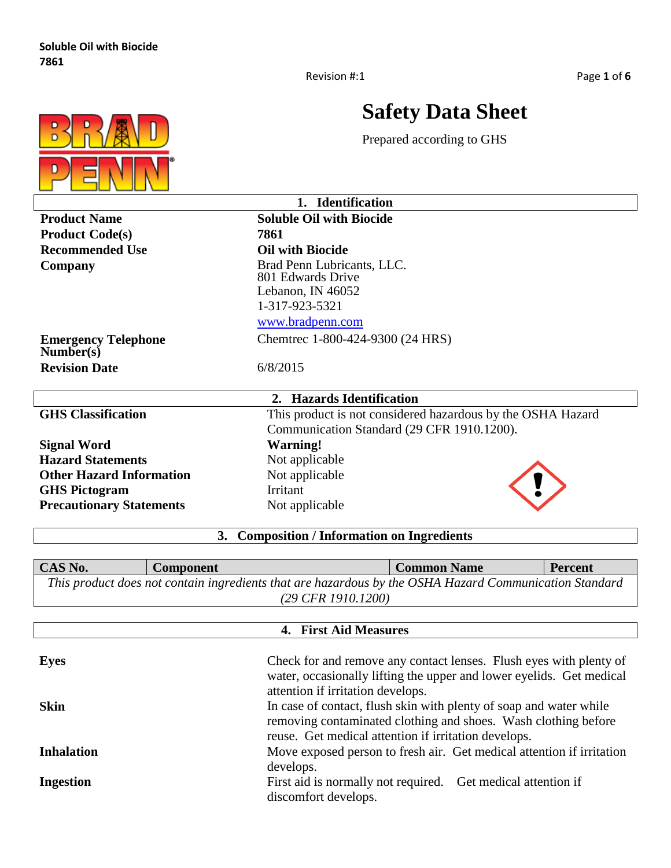

Г

# **Safety Data Sheet**

Prepared according to GHS

| 1. Identification                       |                                                             |  |  |  |
|-----------------------------------------|-------------------------------------------------------------|--|--|--|
| <b>Product Name</b>                     | <b>Soluble Oil with Biocide</b>                             |  |  |  |
| <b>Product Code(s)</b>                  | 7861                                                        |  |  |  |
| <b>Recommended Use</b>                  | <b>Oil with Biocide</b>                                     |  |  |  |
| Company                                 | Brad Penn Lubricants, LLC.                                  |  |  |  |
|                                         | 801 Edwards Drive                                           |  |  |  |
|                                         | Lebanon, IN 46052                                           |  |  |  |
|                                         | 1-317-923-5321                                              |  |  |  |
|                                         | www.bradpenn.com                                            |  |  |  |
| <b>Emergency Telephone</b><br>Number(s) | Chemtrec 1-800-424-9300 (24 HRS)                            |  |  |  |
| <b>Revision Date</b>                    | 6/8/2015                                                    |  |  |  |
|                                         |                                                             |  |  |  |
|                                         | 2. Hazards Identification                                   |  |  |  |
| <b>GHS Classification</b>               | This product is not considered hazardous by the OSHA Hazard |  |  |  |
|                                         | Communication Standard (29 CFR 1910.1200).                  |  |  |  |
| <b>Signal Word</b>                      | <b>Warning!</b>                                             |  |  |  |
| <b>Hazard Statements</b>                | Not applicable                                              |  |  |  |
| <b>Other Hazard Information</b>         | Not applicable                                              |  |  |  |
| <b>GHS Pictogram</b>                    | Irritant                                                    |  |  |  |
| <b>Precautionary Statements</b>         | Not applicable                                              |  |  |  |
|                                         | 3. Composition / Information on Ingredients                 |  |  |  |

| CAS No.<br><sup>1</sup> Common Name<br><b>Percent</b><br><b>Component</b> |                                                                                                        |  |  |  |  |
|---------------------------------------------------------------------------|--------------------------------------------------------------------------------------------------------|--|--|--|--|
|                                                                           | This product does not contain ingredients that are hazardous by the OSHA Hazard Communication Standard |  |  |  |  |
| $(29 \text{ CFR } 1910.1200)$                                             |                                                                                                        |  |  |  |  |

| 4. First Aid Measures |                                                                                                                                                                                              |  |
|-----------------------|----------------------------------------------------------------------------------------------------------------------------------------------------------------------------------------------|--|
| <b>Eyes</b>           | Check for and remove any contact lenses. Flush eyes with plenty of<br>water, occasionally lifting the upper and lower eyelids. Get medical                                                   |  |
|                       | attention if irritation develops.                                                                                                                                                            |  |
| <b>Skin</b>           | In case of contact, flush skin with plenty of soap and water while<br>removing contaminated clothing and shoes. Wash clothing before<br>reuse. Get medical attention if irritation develops. |  |
| <b>Inhalation</b>     | Move exposed person to fresh air. Get medical attention if irritation<br>develops.                                                                                                           |  |
| <b>Ingestion</b>      | First aid is normally not required. Get medical attention if<br>discomfort develops.                                                                                                         |  |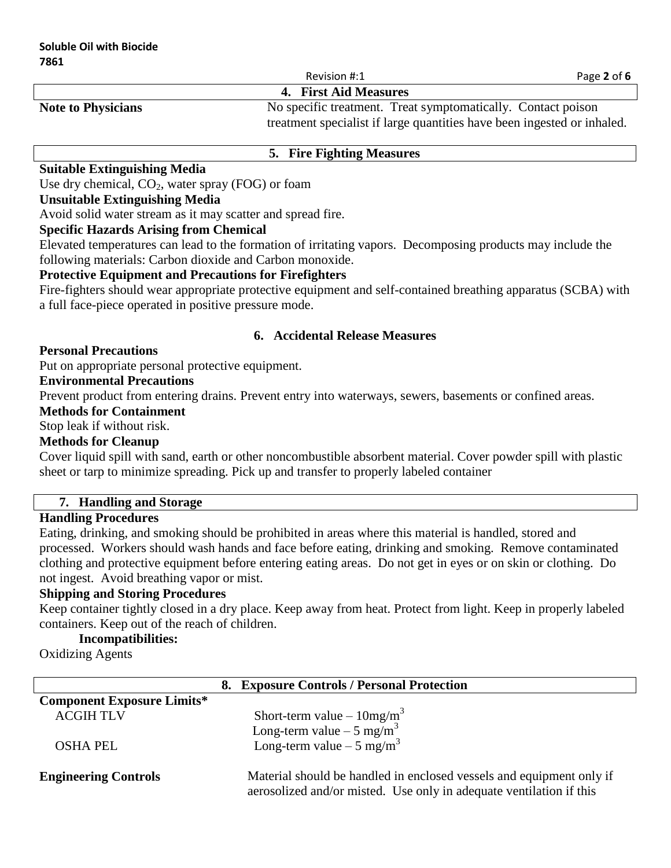Revision #:1 Page 2 of 6

#### **4. First Aid Measures**

Note to Physicians No specific treatment. Treat symptomatically. Contact poison treatment specialist if large quantities have been ingested or inhaled.

#### **5. Fire Fighting Measures**

## **Suitable Extinguishing Media**

Use dry chemical,  $CO<sub>2</sub>$ , water spray (FOG) or foam

#### **Unsuitable Extinguishing Media**

Avoid solid water stream as it may scatter and spread fire.

### **Specific Hazards Arising from Chemical**

Elevated temperatures can lead to the formation of irritating vapors. Decomposing products may include the following materials: Carbon dioxide and Carbon monoxide.

#### **Protective Equipment and Precautions for Firefighters**

Fire-fighters should wear appropriate protective equipment and self-contained breathing apparatus (SCBA) with a full face-piece operated in positive pressure mode.

#### **6. Accidental Release Measures**

#### **Personal Precautions**

Put on appropriate personal protective equipment.

## **Environmental Precautions**

Prevent product from entering drains. Prevent entry into waterways, sewers, basements or confined areas.

#### **Methods for Containment**

Stop leak if without risk.

### **Methods for Cleanup**

Cover liquid spill with sand, earth or other noncombustible absorbent material. Cover powder spill with plastic sheet or tarp to minimize spreading. Pick up and transfer to properly labeled container

#### **7. Handling and Storage**

### **Handling Procedures**

Eating, drinking, and smoking should be prohibited in areas where this material is handled, stored and processed. Workers should wash hands and face before eating, drinking and smoking. Remove contaminated clothing and protective equipment before entering eating areas. Do not get in eyes or on skin or clothing. Do not ingest. Avoid breathing vapor or mist.

### **Shipping and Storing Procedures**

Keep container tightly closed in a dry place. Keep away from heat. Protect from light. Keep in properly labeled containers. Keep out of the reach of children.

## **Incompatibilities:**

Oxidizing Agents

|                                   | 8. Exposure Controls / Personal Protection                                                                                                  |
|-----------------------------------|---------------------------------------------------------------------------------------------------------------------------------------------|
| <b>Component Exposure Limits*</b> |                                                                                                                                             |
| <b>ACGIH TLV</b>                  | Short-term value $-10mg/m^3$                                                                                                                |
|                                   | Long-term value $-5 \text{ mg/m}^3$                                                                                                         |
| <b>OSHA PEL</b>                   | Long-term value $-5 \text{ mg/m}^3$                                                                                                         |
|                                   |                                                                                                                                             |
| <b>Engineering Controls</b>       | Material should be handled in enclosed vessels and equipment only if<br>aerosolized and/or misted. Use only in adequate ventilation if this |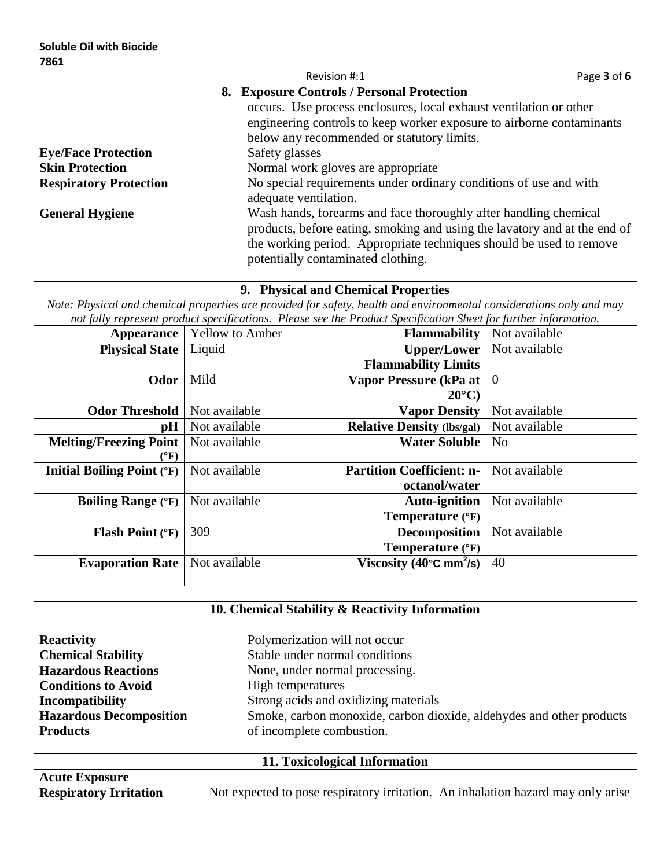|                               | Revision #:1                                                                                                                                  | Page 3 of 6 |
|-------------------------------|-----------------------------------------------------------------------------------------------------------------------------------------------|-------------|
|                               | 8. Exposure Controls / Personal Protection                                                                                                    |             |
|                               | occurs. Use process enclosures, local exhaust ventilation or other                                                                            |             |
|                               | engineering controls to keep worker exposure to airborne contaminants                                                                         |             |
|                               | below any recommended or statutory limits.                                                                                                    |             |
| <b>Eye/Face Protection</b>    | Safety glasses                                                                                                                                |             |
| <b>Skin Protection</b>        | Normal work gloves are appropriate                                                                                                            |             |
| <b>Respiratory Protection</b> | No special requirements under ordinary conditions of use and with<br>adequate ventilation.                                                    |             |
| <b>General Hygiene</b>        | Wash hands, forearms and face thoroughly after handling chemical<br>products, before eating, smoking and using the lavatory and at the end of |             |
|                               | the working period. Appropriate techniques should be used to remove<br>potentially contaminated clothing.                                     |             |

#### **9. Physical and Chemical Properties**

*Note: Physical and chemical properties are provided for safety, health and environmental considerations only and may not fully represent product specifications. Please see the Product Specification Sheet for further information.*

| <b>Appearance</b>                 | <b>Yellow to Amber</b> | <b>Flammability</b>                           | Not available  |
|-----------------------------------|------------------------|-----------------------------------------------|----------------|
| <b>Physical State</b>             | Liquid                 | <b>Upper/Lower</b>                            | Not available  |
|                                   |                        | <b>Flammability Limits</b>                    |                |
| Odor                              | Mild                   | Vapor Pressure (kPa at                        | $\overline{0}$ |
|                                   |                        | $20^{\circ}$ C)                               |                |
| <b>Odor Threshold</b>             | Not available          | <b>Vapor Density</b>                          | Not available  |
| pH                                | Not available          | <b>Relative Density (lbs/gal)</b>             | Not available  |
| <b>Melting/Freezing Point</b>     | Not available          | <b>Water Soluble</b>                          | N <sub>0</sub> |
| $({}^{\circ}{\rm F})$             |                        |                                               |                |
| <b>Initial Boiling Point (°F)</b> | Not available          | <b>Partition Coefficient: n-</b>              | Not available  |
|                                   |                        | octanol/water                                 |                |
| <b>Boiling Range (°F)</b>         | Not available          | <b>Auto-ignition</b>                          | Not available  |
|                                   |                        | Temperature (°F)                              |                |
| <b>Flash Point (°F)</b>           | 309                    | <b>Decomposition</b>                          | Not available  |
|                                   |                        | Temperature (°F)                              |                |
| <b>Evaporation Rate</b>           | Not available          | Viscosity (40 $\degree$ C mm <sup>2</sup> /s) | 40             |
|                                   |                        |                                               |                |

## **10. Chemical Stability & Reactivity Information**

| <b>Reactivity</b>              | Polymerization will not occur                                        |
|--------------------------------|----------------------------------------------------------------------|
| <b>Chemical Stability</b>      | Stable under normal conditions                                       |
| <b>Hazardous Reactions</b>     | None, under normal processing.                                       |
| <b>Conditions to Avoid</b>     | High temperatures                                                    |
| Incompatibility                | Strong acids and oxidizing materials                                 |
| <b>Hazardous Decomposition</b> | Smoke, carbon monoxide, carbon dioxide, aldehydes and other products |
| <b>Products</b>                | of incomplete combustion.                                            |
|                                |                                                                      |

## **11. Toxicological Information**

**Acute Exposure**

Not expected to pose respiratory irritation. An inhalation hazard may only arise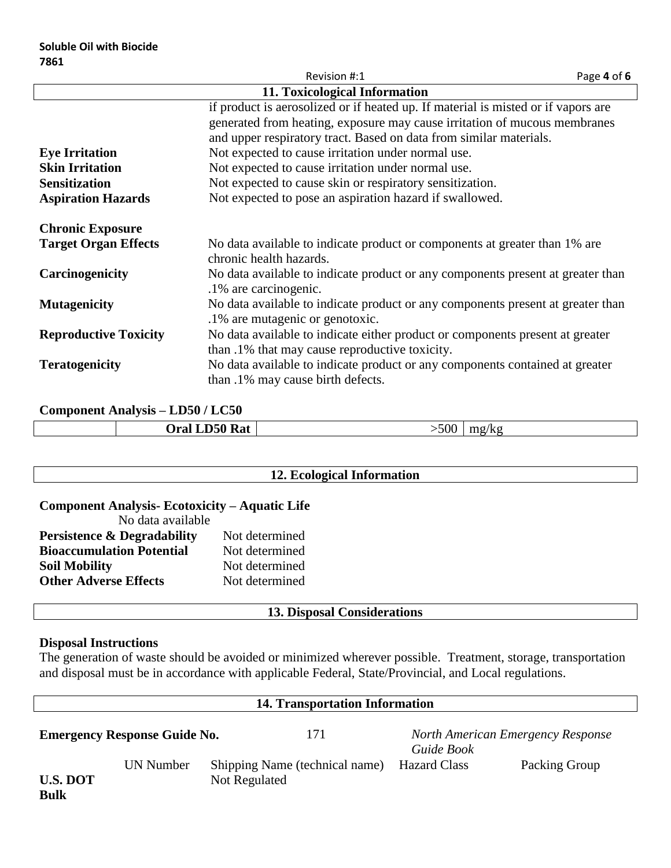| Revision #:1<br>Page 4 of 6  |                                                                                                                                 |  |  |  |
|------------------------------|---------------------------------------------------------------------------------------------------------------------------------|--|--|--|
|                              | 11. Toxicological Information                                                                                                   |  |  |  |
|                              | if product is aerosolized or if heated up. If material is misted or if vapors are                                               |  |  |  |
|                              | generated from heating, exposure may cause irritation of mucous membranes                                                       |  |  |  |
|                              | and upper respiratory tract. Based on data from similar materials.                                                              |  |  |  |
| <b>Eye Irritation</b>        | Not expected to cause irritation under normal use.                                                                              |  |  |  |
| <b>Skin Irritation</b>       | Not expected to cause irritation under normal use.                                                                              |  |  |  |
| <b>Sensitization</b>         | Not expected to cause skin or respiratory sensitization.                                                                        |  |  |  |
| <b>Aspiration Hazards</b>    | Not expected to pose an aspiration hazard if swallowed.                                                                         |  |  |  |
| <b>Chronic Exposure</b>      |                                                                                                                                 |  |  |  |
| <b>Target Organ Effects</b>  | No data available to indicate product or components at greater than 1% are<br>chronic health hazards.                           |  |  |  |
| Carcinogenicity              | No data available to indicate product or any components present at greater than<br>.1% are carcinogenic.                        |  |  |  |
| <b>Mutagenicity</b>          | No data available to indicate product or any components present at greater than<br>.1% are mutagenic or genotoxic.              |  |  |  |
| <b>Reproductive Toxicity</b> | No data available to indicate either product or components present at greater<br>than .1% that may cause reproductive toxicity. |  |  |  |
| <b>Teratogenicity</b>        | No data available to indicate product or any components contained at greater<br>than .1% may cause birth defects.               |  |  |  |

# **Component Analysis – LD50 / LC50**

|  |  | Oral LD50 Rat | $-500$ | mp/kg |
|--|--|---------------|--------|-------|
|--|--|---------------|--------|-------|

# **12. Ecological Information**

| Component Analysis-Ecotoxicity – Aquatic Life            |                |  |  |  |
|----------------------------------------------------------|----------------|--|--|--|
| No data available                                        |                |  |  |  |
| Not determined<br><b>Persistence &amp; Degradability</b> |                |  |  |  |
| <b>Bioaccumulation Potential</b>                         | Not determined |  |  |  |
| <b>Soil Mobility</b>                                     | Not determined |  |  |  |
| <b>Other Adverse Effects</b>                             | Not determined |  |  |  |

# **13. Disposal Considerations**

#### **Disposal Instructions**

The generation of waste should be avoided or minimized wherever possible. Treatment, storage, transportation and disposal must be in accordance with applicable Federal, State/Provincial, and Local regulations.

| <b>14. Transportation Information</b> |                                     |  |                                                 |                     |                                   |
|---------------------------------------|-------------------------------------|--|-------------------------------------------------|---------------------|-----------------------------------|
|                                       | <b>Emergency Response Guide No.</b> |  | 171                                             | Guide Book          | North American Emergency Response |
| <b>U.S. DOT</b><br><b>Bulk</b>        | UN Number                           |  | Shipping Name (technical name)<br>Not Regulated | <b>Hazard Class</b> | Packing Group                     |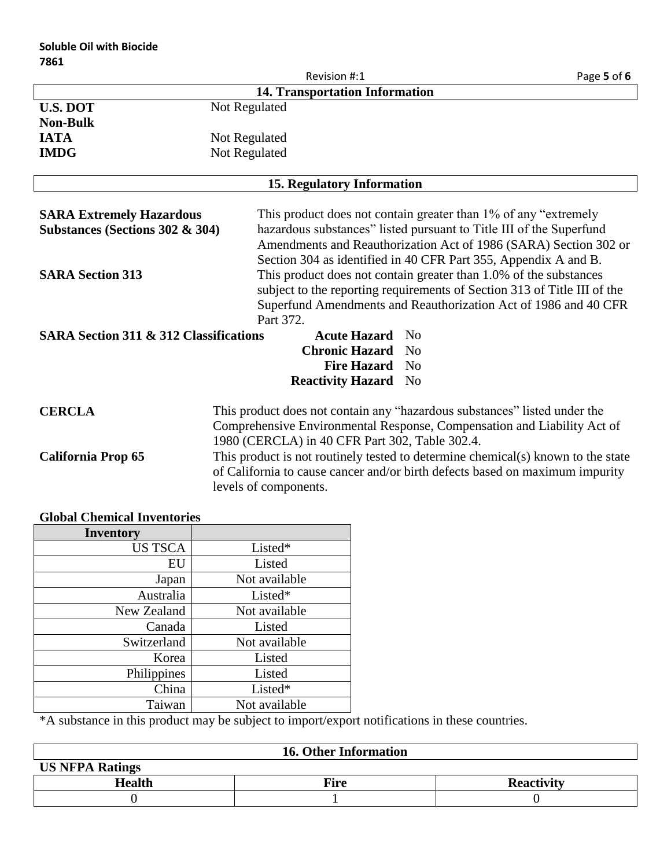|                                                   |                                                                           | Revision #:1                      | Page 5 of 6                                                                      |
|---------------------------------------------------|---------------------------------------------------------------------------|-----------------------------------|----------------------------------------------------------------------------------|
|                                                   |                                                                           | 14. Transportation Information    |                                                                                  |
| <b>U.S. DOT</b>                                   | Not Regulated                                                             |                                   |                                                                                  |
| <b>Non-Bulk</b>                                   |                                                                           |                                   |                                                                                  |
| <b>IATA</b>                                       | Not Regulated                                                             |                                   |                                                                                  |
| <b>IMDG</b>                                       | Not Regulated                                                             |                                   |                                                                                  |
|                                                   |                                                                           |                                   |                                                                                  |
|                                                   |                                                                           | <b>15. Regulatory Information</b> |                                                                                  |
|                                                   |                                                                           |                                   |                                                                                  |
| <b>SARA Extremely Hazardous</b>                   |                                                                           |                                   | This product does not contain greater than 1% of any "extremely"                 |
| Substances (Sections 302 & 304)                   |                                                                           |                                   | hazardous substances" listed pursuant to Title III of the Superfund              |
|                                                   |                                                                           |                                   | Amendments and Reauthorization Act of 1986 (SARA) Section 302 or                 |
|                                                   |                                                                           |                                   | Section 304 as identified in 40 CFR Part 355, Appendix A and B.                  |
| <b>SARA Section 313</b>                           |                                                                           |                                   | This product does not contain greater than 1.0% of the substances                |
|                                                   |                                                                           |                                   | subject to the reporting requirements of Section 313 of Title III of the         |
|                                                   |                                                                           |                                   | Superfund Amendments and Reauthorization Act of 1986 and 40 CFR                  |
|                                                   | Part 372.                                                                 |                                   |                                                                                  |
| <b>SARA Section 311 &amp; 312 Classifications</b> |                                                                           | <b>Acute Hazard</b>               | No                                                                               |
|                                                   |                                                                           | <b>Chronic Hazard</b>             | N <sub>0</sub>                                                                   |
|                                                   |                                                                           | <b>Fire Hazard</b>                | N <sub>0</sub>                                                                   |
|                                                   |                                                                           | <b>Reactivity Hazard</b>          | N <sub>0</sub>                                                                   |
|                                                   |                                                                           |                                   |                                                                                  |
| <b>CERCLA</b>                                     | This product does not contain any "hazardous substances" listed under the |                                   |                                                                                  |
|                                                   |                                                                           |                                   | Comprehensive Environmental Response, Compensation and Liability Act of          |
|                                                   | 1980 (CERCLA) in 40 CFR Part 302, Table 302.4.                            |                                   |                                                                                  |
| <b>California Prop 65</b>                         |                                                                           |                                   | This product is not routinely tested to determine chemical(s) known to the state |
|                                                   |                                                                           |                                   | of California to cause cancer and/or birth defects based on maximum impurity     |
|                                                   | levels of components.                                                     |                                   |                                                                                  |

| <b>Inventory</b> |               |
|------------------|---------------|
| <b>US TSCA</b>   | Listed*       |
| EU               | Listed        |
| Japan            | Not available |
| Australia        | Listed*       |
| New Zealand      | Not available |
| Canada           | Listed        |
| Switzerland      | Not available |
| Korea            | Listed        |
| Philippines      | Listed        |
| China            | Listed*       |
| Taiwan           | Not available |

# **Global Chemical Inventories**

\*A substance in this product may be subject to import/export notifications in these countries.

| <b>16. Other Information</b> |             |                   |
|------------------------------|-------------|-------------------|
| <b>US NFPA Ratings</b>       |             |                   |
| Health                       | <b>Fire</b> | <b>Reactivity</b> |
|                              |             |                   |